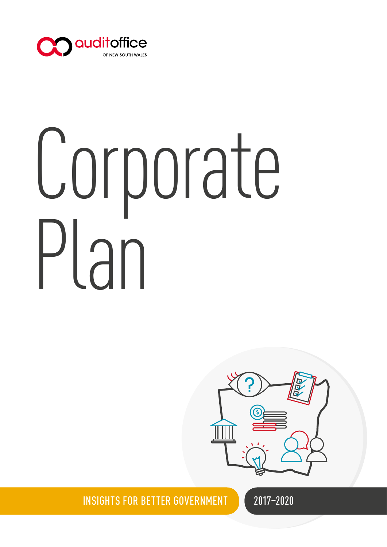

# Corporate Plan



INSIGHTS FOR BETTER GOVERNMENT

2017–2020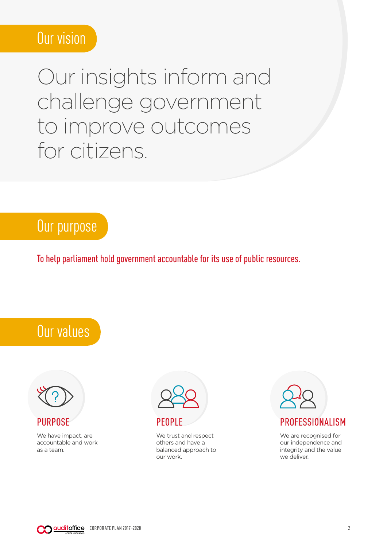# Our vision

Our insights inform and challenge government to improve outcomes for citizens.

# Our purpose

To help parliament hold government accountable for its use of public resources.





PURPOSE

We have impact, are accountable and work as a team.



#### PEOPLE

We trust and respect others and have a balanced approach to our work.



We are recognised for our independence and integrity and the value we deliver.

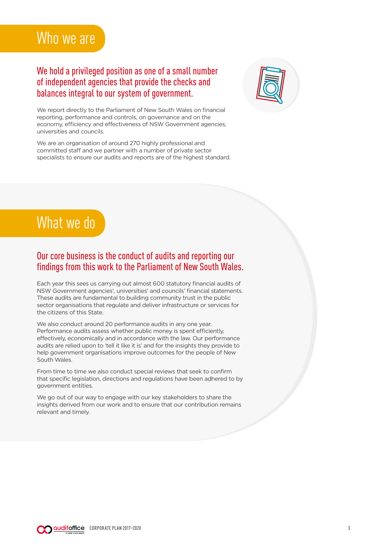# Who we are

#### We hold a privileged position as one of a small number of independent agencies that provide the checks and balances integral to our system of government.



We report directly to the Parliament of New South Wales on financial reporting, performance and controls, on governance and on the economy, efficiency and effectiveness of NSW Government agencies, universities and councils.

We are an organisation of around 270 highly professional and committed staff and we partner with a number of private sector specialists to ensure our audits and reports are of the highest standard.



#### Our core business is the conduct of audits and reporting our findings from this work to the Parliament of New South Wales.

Each year this sees us carrying out almost 600 statutory financial audits of NSW Government agencies', universities' and councils' financial statements. These audits are fundamental to building community trust in the public sector organisations that regulate and deliver infrastructure or services for the citizens of this State.

We also conduct around 20 performance audits in any one year. Performance audits assess whether public money is spent efficiently, effectively, economically and in accordance with the law. Our performance audits are relied upon to 'tell it like it is' and for the insights they provide to help government organisations improve outcomes for the people of New South Wales.

From time to time we also conduct special reviews that seek to confirm that specific legislation, directions and regulations have been adhered to by government entities.

We go out of our way to engage with our key stakeholders to share the insights derived from our work and to ensure that our contribution remains relevant and timely.

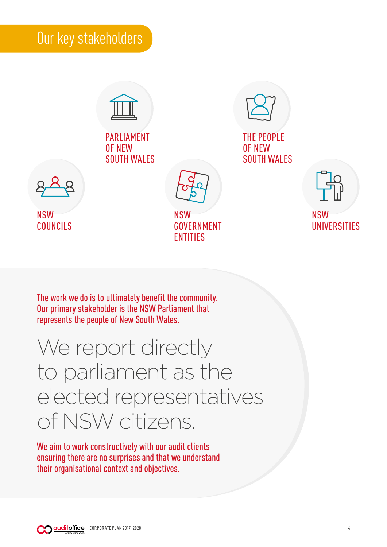# Our key stakeholders



PARLIAMENT OF NEW SOUTH WALES



THE PEOPLE OF NEW SOUTH WALES



NSW COUNCILS

NSW GOVERNMENT ENTITIES



The work we do is to ultimately benefit the community. Our primary stakeholder is the NSW Parliament that represents the people of New South Wales.

# We report directly to parliament as the elected representatives of NSW citizens.

We aim to work constructively with our audit clients ensuring there are no surprises and that we understand their organisational context and objectives.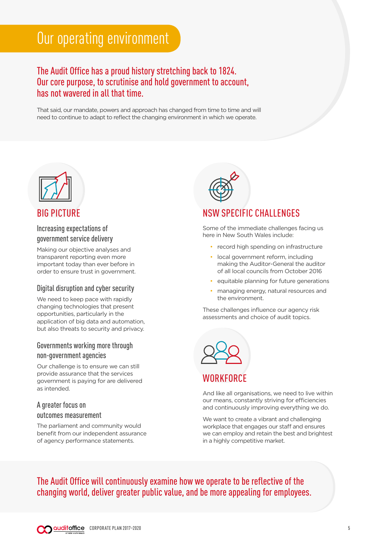# Our operating environment

#### The Audit Office has a proud history stretching back to 1824. Our core purpose, to scrutinise and hold government to account, has not wavered in all that time.

That said, our mandate, powers and approach has changed from time to time and will need to continue to adapt to reflect the changing environment in which we operate.



#### BIG PICTURE

#### Increasing expectations of government service delivery

Making our objective analyses and transparent reporting even more important today than ever before in order to ensure trust in government.

#### Digital disruption and cyber security

We need to keep pace with rapidly changing technologies that present opportunities, particularly in the application of big data and automation, but also threats to security and privacy.

#### Governments working more through non-government agencies

Our challenge is to ensure we can still provide assurance that the services government is paying for are delivered as intended.

#### A greater focus on outcomes measurement

The parliament and community would benefit from our independent assurance of agency performance statements.



#### **SPECIFIC CHALLENGES**

Some of the immediate challenges facing us here in New South Wales include:

- record high spending on infrastructure
- local government reform, including making the Auditor-General the auditor of all local councils from October 2016
- equitable planning for future generations
- managing energy, natural resources and the environment.

These challenges influence our agency risk assessments and choice of audit topics.



#### WORKFORCE

And like all organisations, we need to live within our means, constantly striving for efficiencies and continuously improving everything we do.

We want to create a vibrant and challenging workplace that engages our staff and ensures we can employ and retain the best and brightest in a highly competitive market.

The Audit Office will continuously examine how we operate to be reflective of the changing world, deliver greater public value, and be more appealing for employees.

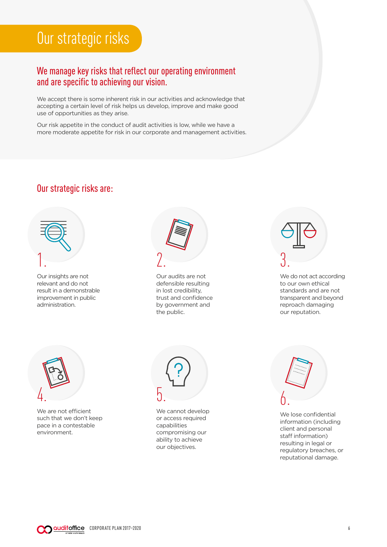# Our strategic risks

#### We manage key risks that reflect our operating environment and are specific to achieving our vision.

We accept there is some inherent risk in our activities and acknowledge that accepting a certain level of risk helps us develop, improve and make good use of opportunities as they arise.

Our risk appetite in the conduct of audit activities is low, while we have a more moderate appetite for risk in our corporate and management activities.

#### Our strategic risks are:



Our insights are not relevant and do not result in a demonstrable improvement in public administration.



Our audits are not defensible resulting in lost credibility, trust and confidence by government and the public.



We do not act according to our own ethical standards and are not transparent and beyond reproach damaging our reputation.



We are not efficient such that we don't keep pace in a contestable environment.



We cannot develop or access required capabilities compromising our ability to achieve our objectives.



We lose confidential information (including client and personal staff information) resulting in legal or regulatory breaches, or reputational damage.

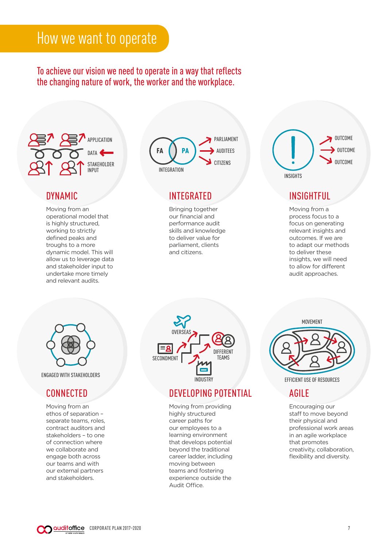## How we want to operate

#### To achieve our vision we need to operate in a way that reflects the changing nature of work, the worker and the workplace.



#### DYNAMIC

Moving from an operational model that is highly structured, working to strictly defined peaks and troughs to a more dynamic model. This will allow us to leverage data and stakeholder input to undertake more timely and relevant audits.



#### INTEGRATED

Bringing together our financial and performance audit skills and knowledge to deliver value for parliament, clients and citizens.



#### INSIGHTFUL

Moving from a process focus to a focus on generating relevant insights and outcomes. If we are to adapt our methods to deliver these insights, we will need to allow for different audit approaches.



ENGAGED WITH STAKEHOLDERS

#### **CONNECTED**

Moving from an ethos of separation – separate teams, roles, contract auditors and stakeholders – to one of connection where we collaborate and engage both across our teams and with our external partners and stakeholders.



#### DEVELOPING POTENTIAL

Moving from providing highly structured career paths for our employees to a learning environment that develops potential beyond the traditional career ladder, including moving between teams and fostering experience outside the Audit Office.

MOVEMENT



EFFICIENT USE OF RESOURCES

#### AGILE

Encouraging our staff to move beyond their physical and professional work areas in an agile workplace that promotes creativity, collaboration, flexibility and diversity.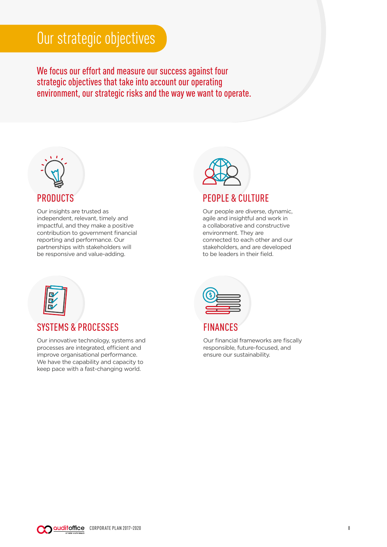# Our strategic objectives

We focus our effort and measure our success against four strategic objectives that take into account our operating environment, our strategic risks and the way we want to operate.



Our insights are trusted as independent, relevant, timely and impactful, and they make a positive contribution to government financial reporting and performance. Our partnerships with stakeholders will be responsive and value-adding.



#### PEOPLE & CULTURE

Our people are diverse, dynamic, agile and insightful and work in a collaborative and constructive environment. They are connected to each other and our stakeholders, and are developed to be leaders in their field.



#### SYSTEMS & PROCESSES

Our innovative technology, systems and processes are integrated, efficient and improve organisational performance. We have the capability and capacity to keep pace with a fast-changing world.



|  |  | <b>FINANCES</b> |
|--|--|-----------------|
|  |  |                 |

Our financial frameworks are fiscally responsible, future-focused, and ensure our sustainability.

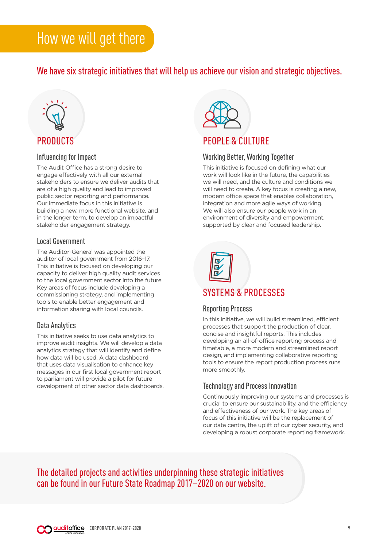We have six strategic initiatives that will help us achieve our vision and strategic objectives.



#### Influencing for Impact

The Audit Office has a strong desire to engage effectively with all our external stakeholders to ensure we deliver audits that are of a high quality and lead to improved public sector reporting and performance. Our immediate focus in this initiative is building a new, more functional website, and in the longer term, to develop an impactful stakeholder engagement strategy.

#### Local Government

The Auditor-General was appointed the auditor of local government from 2016–17. This initiative is focused on developing our capacity to deliver high quality audit services to the local government sector into the future. Key areas of focus include developing a commissioning strategy, and implementing tools to enable better engagement and information sharing with local councils.

#### Data Analytics

This initiative seeks to use data analytics to improve audit insights. We will develop a data analytics strategy that will identify and define how data will be used. A data dashboard that uses data visualisation to enhance key messages in our first local government report to parliament will provide a pilot for future development of other sector data dashboards.



#### PEOPLE & CULTURE

#### Working Better, Working Together

This initiative is focused on defining what our work will look like in the future, the capabilities we will need, and the culture and conditions we will need to create. A key focus is creating a new, modern office space that enables collaboration, integration and more agile ways of working. We will also ensure our people work in an environment of diversity and empowerment, supported by clear and focused leadership.



#### SYSTEMS & PROCESSES

#### Reporting Process

In this initiative, we will build streamlined, efficient processes that support the production of clear, concise and insightful reports. This includes developing an all-of-office reporting process and timetable, a more modern and streamlined report design, and implementing collaborative reporting tools to ensure the report production process runs more smoothly.

#### Technology and Process Innovation

Continuously improving our systems and processes is crucial to ensure our sustainability, and the efficiency and effectiveness of our work. The key areas of focus of this initiative will be the replacement of our data centre, the uplift of our cyber security, and developing a robust corporate reporting framework.

The detailed projects and activities underpinning these strategic initiatives can be found in our Future State Roadmap 2017–2020 on our website.

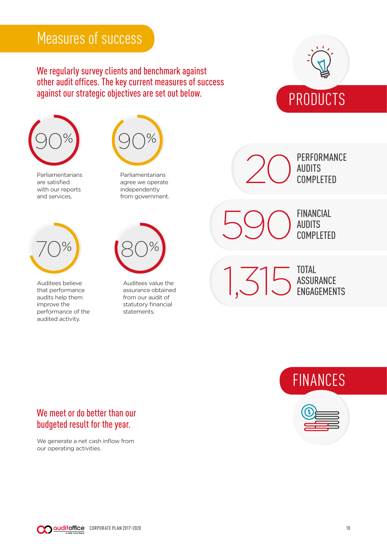# Measures of success

We regularly survey clients and benchmark against other audit offices. The key current measures of success against our strategic objectives are set out below.





Parliamentarians are satisfied with our reports and services.



Auditees believe that performance audits help them improve the performance of the audited activity.



Parliamentarians agree we operate independently from government.



Auditees value the assurance obtained from our audit of statutory financial statements.

PERFORMANCE<br>AUDITS COMPLETED

> FINANCIAL AUDITS COMPLETED

590

TOTAL ASSURANCE ENGAGEMENTS 1,315





#### We meet or do better than our budgeted result for the year.

We generate a net cash inflow from our operating activities.

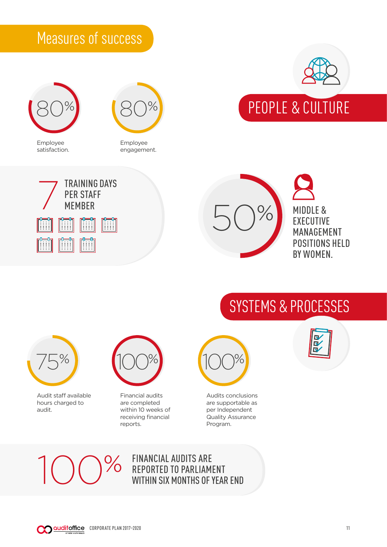# Measures of success



Employee satisfaction.



Employee engagement.







PEOPLE & CULTURE

# SYSTEMS & PROCESSES



Audit staff available hours charged to audit.



Financial audits are completed within 10 weeks of receiving financial reports.



Audits conclusions are supportable as per Independent Quality Assurance Program.



 $\%$ 

# FINANCIAL AUDITS ARE<br>REPORTED TO PARLIAMENT WITHIN SIX MONTHS OF YEAR END